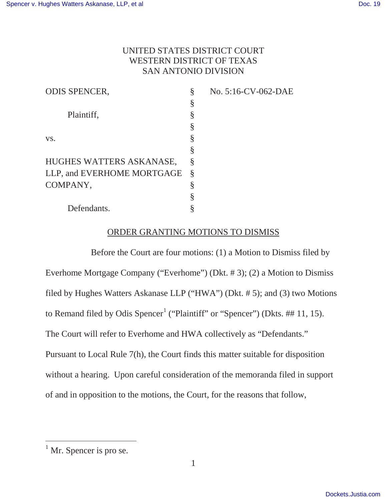# UNITED STATES DISTRICT COURT WESTERN DISTRICT OF TEXAS SAN ANTONIO DIVISION

| § | No. 5:16-CV-062-DAE |
|---|---------------------|
| § |                     |
| § |                     |
| § |                     |
| § |                     |
| § |                     |
| Ş |                     |
| Ş |                     |
| § |                     |
| § |                     |
|   |                     |
|   |                     |

# ORDER GRANTING MOTIONS TO DISMISS

Before the Court are four motions: (1) a Motion to Dismiss filed by Everhome Mortgage Company ("Everhome") (Dkt. # 3); (2) a Motion to Dismiss filed by Hughes Watters Askanase LLP ("HWA") (Dkt. # 5); and (3) two Motions to Remand filed by Odis Spencer<sup>1</sup> ("Plaintiff" or "Spencer") (Dkts. ## 11, 15). The Court will refer to Everhome and HWA collectively as "Defendants." Pursuant to Local Rule 7(h), the Court finds this matter suitable for disposition without a hearing. Upon careful consideration of the memoranda filed in support of and in opposition to the motions, the Court, for the reasons that follow,

 $<sup>1</sup>$  Mr. Spencer is pro se.</sup>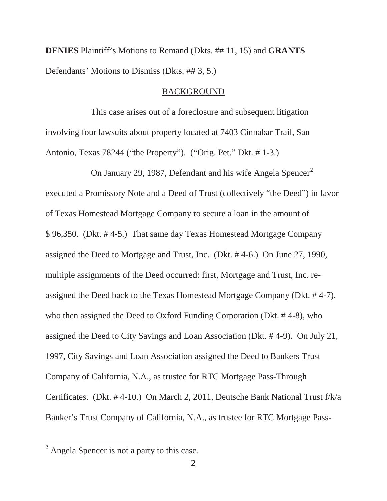**DENIES** Plaintiff's Motions to Remand (Dkts. ## 11, 15) and **GRANTS** Defendants' Motions to Dismiss (Dkts. ## 3, 5.)

### BACKGROUND

This case arises out of a foreclosure and subsequent litigation involving four lawsuits about property located at 7403 Cinnabar Trail, San Antonio, Texas 78244 ("the Property"). ("Orig. Pet." Dkt. # 1-3.)

On January 29, 1987, Defendant and his wife Angela Spencer<sup>2</sup> executed a Promissory Note and a Deed of Trust (collectively "the Deed") in favor of Texas Homestead Mortgage Company to secure a loan in the amount of \$ 96,350. (Dkt. # 4-5.) That same day Texas Homestead Mortgage Company assigned the Deed to Mortgage and Trust, Inc. (Dkt. # 4-6.) On June 27, 1990, multiple assignments of the Deed occurred: first, Mortgage and Trust, Inc. reassigned the Deed back to the Texas Homestead Mortgage Company (Dkt. # 4-7), who then assigned the Deed to Oxford Funding Corporation (Dkt. # 4-8), who assigned the Deed to City Savings and Loan Association (Dkt. # 4-9). On July 21, 1997, City Savings and Loan Association assigned the Deed to Bankers Trust Company of California, N.A., as trustee for RTC Mortgage Pass-Through Certificates. (Dkt. # 4-10.) On March 2, 2011, Deutsche Bank National Trust f/k/a Banker's Trust Company of California, N.A., as trustee for RTC Mortgage Pass-

<sup>&</sup>lt;sup>2</sup> Angela Spencer is not a party to this case.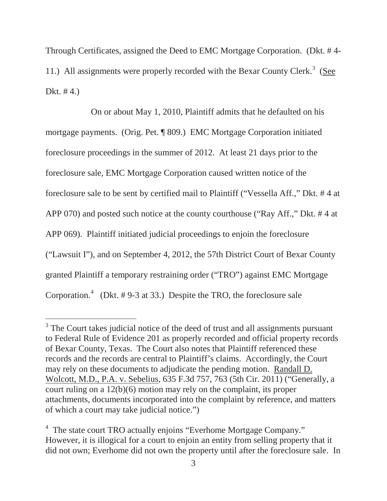Through Certificates, assigned the Deed to EMC Mortgage Corporation. (Dkt. # 4- 11.) All assignments were properly recorded with the Bexar County Clerk.<sup>3</sup> (See Dkt.  $# 4.$ )

On or about May 1, 2010, Plaintiff admits that he defaulted on his mortgage payments. (Orig. Pet. ¶ 809.) EMC Mortgage Corporation initiated foreclosure proceedings in the summer of 2012. At least 21 days prior to the foreclosure sale, EMC Mortgage Corporation caused written notice of the foreclosure sale to be sent by certified mail to Plaintiff ("Vessella Aff.," Dkt. # 4 at APP 070) and posted such notice at the county courthouse ("Ray Aff.," Dkt. # 4 at APP 069). Plaintiff initiated judicial proceedings to enjoin the foreclosure ("Lawsuit I"), and on September 4, 2012, the 57th District Court of Bexar County granted Plaintiff a temporary restraining order ("TRO") against EMC Mortgage Corporation.<sup>4</sup> (Dkt.  $# 9-3$  at 33.) Despite the TRO, the foreclosure sale

<sup>&</sup>lt;sup>3</sup> The Court takes judicial notice of the deed of trust and all assignments pursuant to Federal Rule of Evidence 201 as properly recorded and official property records of Bexar County, Texas. The Court also notes that Plaintiff referenced these records and the records are central to Plaintiff's claims. Accordingly, the Court may rely on these documents to adjudicate the pending motion. Randall D. Wolcott, M.D., P.A. v. Sebelius, 635 F.3d 757, 763 (5th Cir. 2011) ("Generally, a court ruling on a 12(b)(6) motion may rely on the complaint, its proper attachments, documents incorporated into the complaint by reference, and matters of which a court may take judicial notice.")

<sup>&</sup>lt;sup>4</sup> The state court TRO actually enjoins "Everhome Mortgage Company." However, it is illogical for a court to enjoin an entity from selling property that it did not own; Everhome did not own the property until after the foreclosure sale. In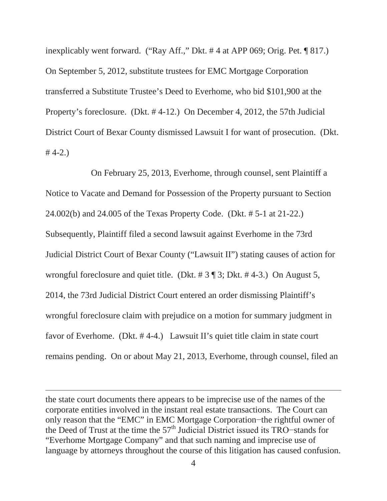inexplicably went forward. ("Ray Aff.," Dkt. # 4 at APP 069; Orig. Pet. ¶ 817.) On September 5, 2012, substitute trustees for EMC Mortgage Corporation transferred a Substitute Trustee's Deed to Everhome, who bid \$101,900 at the Property's foreclosure. (Dkt. # 4-12.) On December 4, 2012, the 57th Judicial District Court of Bexar County dismissed Lawsuit I for want of prosecution. (Dkt.  $# 4-2.)$ 

On February 25, 2013, Everhome, through counsel, sent Plaintiff a Notice to Vacate and Demand for Possession of the Property pursuant to Section 24.002(b) and 24.005 of the Texas Property Code. (Dkt. # 5-1 at 21-22.) Subsequently, Plaintiff filed a second lawsuit against Everhome in the 73rd Judicial District Court of Bexar County ("Lawsuit II") stating causes of action for wrongful foreclosure and quiet title. (Dkt. # 3 ¶ 3; Dkt. # 4-3.) On August 5, 2014, the 73rd Judicial District Court entered an order dismissing Plaintiff's wrongful foreclosure claim with prejudice on a motion for summary judgment in favor of Everhome. (Dkt. # 4-4.) Lawsuit II's quiet title claim in state court remains pending. On or about May 21, 2013, Everhome, through counsel, filed an

the state court documents there appears to be imprecise use of the names of the corporate entities involved in the instant real estate transactions. The Court can only reason that the "EMC" in EMC Mortgage Corporation-the rightful owner of the Deed of Trust at the time the  $57<sup>th</sup>$  Judicial District issued its TRO-stands for "Everhome Mortgage Company" and that such naming and imprecise use of language by attorneys throughout the course of this litigation has caused confusion.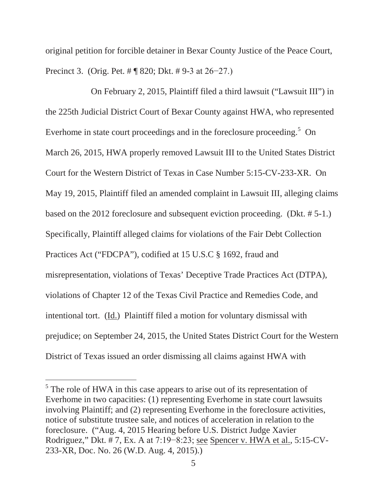original petition for forcible detainer in Bexar County Justice of the Peace Court, Precinct 3. (Orig. Pet.  $\#$  ¶ 820; Dkt.  $\#$  9-3 at 26-27.)

On February 2, 2015, Plaintiff filed a third lawsuit ("Lawsuit III") in the 225th Judicial District Court of Bexar County against HWA, who represented Everhome in state court proceedings and in the foreclosure proceeding.<sup>5</sup> On March 26, 2015, HWA properly removed Lawsuit III to the United States District Court for the Western District of Texas in Case Number 5:15-CV-233-XR. On May 19, 2015, Plaintiff filed an amended complaint in Lawsuit III, alleging claims based on the 2012 foreclosure and subsequent eviction proceeding. (Dkt. # 5-1.) Specifically, Plaintiff alleged claims for violations of the Fair Debt Collection Practices Act ("FDCPA"), codified at 15 U.S.C § 1692, fraud and misrepresentation, violations of Texas' Deceptive Trade Practices Act (DTPA), violations of Chapter 12 of the Texas Civil Practice and Remedies Code, and intentional tort. (Id.) Plaintiff filed a motion for voluntary dismissal with prejudice; on September 24, 2015, the United States District Court for the Western District of Texas issued an order dismissing all claims against HWA with

<sup>&</sup>lt;sup>5</sup> The role of HWA in this case appears to arise out of its representation of Everhome in two capacities: (1) representing Everhome in state court lawsuits involving Plaintiff; and (2) representing Everhome in the foreclosure activities, notice of substitute trustee sale, and notices of acceleration in relation to the foreclosure. ("Aug. 4, 2015 Hearing before U.S. District Judge Xavier Rodriguez," Dkt. #7, Ex. A at  $7:19-8:23$ ; see Spencer v. HWA et al.,  $5:15-CV$ -233-XR, Doc. No. 26 (W.D. Aug. 4, 2015).)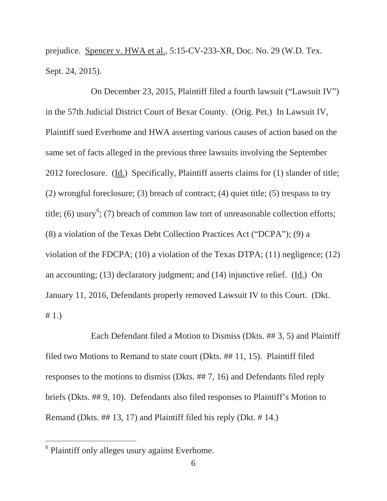prejudice. Spencer v. HWA et al., 5:15-CV-233-XR, Doc. No. 29 (W.D. Tex. Sept. 24, 2015).

On December 23, 2015, Plaintiff filed a fourth lawsuit ("Lawsuit IV") in the 57th Judicial District Court of Bexar County. (Orig. Pet.) In Lawsuit IV, Plaintiff sued Everhome and HWA asserting various causes of action based on the same set of facts alleged in the previous three lawsuits involving the September 2012 foreclosure. (Id.) Specifically, Plaintiff asserts claims for (1) slander of title; (2) wrongful foreclosure; (3) breach of contract; (4) quiet title; (5) trespass to try title; (6) usury<sup>6</sup>; (7) breach of common law tort of unreasonable collection efforts; (8) a violation of the Texas Debt Collection Practices Act ("DCPA"); (9) a violation of the FDCPA; (10) a violation of the Texas DTPA; (11) negligence; (12) an accounting; (13) declaratory judgment; and (14) injunctive relief. (Id.) On January 11, 2016, Defendants properly removed Lawsuit IV to this Court. (Dkt. # 1.)

Each Defendant filed a Motion to Dismiss (Dkts. ## 3, 5) and Plaintiff filed two Motions to Remand to state court (Dkts. ## 11, 15). Plaintiff filed responses to the motions to dismiss (Dkts. ## 7, 16) and Defendants filed reply briefs (Dkts. ## 9, 10). Defendants also filed responses to Plaintiff's Motion to Remand (Dkts. ## 13, 17) and Plaintiff filed his reply (Dkt. # 14.)

<sup>&</sup>lt;sup>6</sup> Plaintiff only alleges usury against Everhome.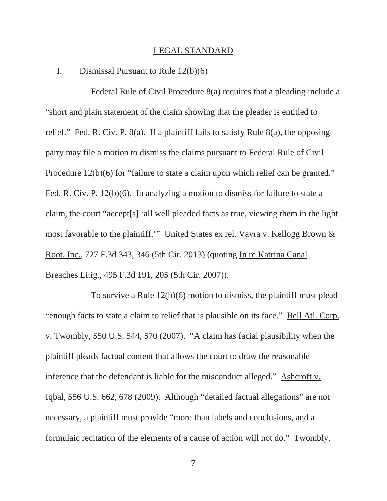#### LEGAL STANDARD

# I. Dismissal Pursuant to Rule 12(b)(6)

Federal Rule of Civil Procedure 8(a) requires that a pleading include a "short and plain statement of the claim showing that the pleader is entitled to relief." Fed. R. Civ. P. 8(a). If a plaintiff fails to satisfy Rule 8(a), the opposing party may file a motion to dismiss the claims pursuant to Federal Rule of Civil Procedure 12(b)(6) for "failure to state a claim upon which relief can be granted." Fed. R. Civ. P. 12(b)(6). In analyzing a motion to dismiss for failure to state a claim, the court "accept[s] 'all well pleaded facts as true, viewing them in the light most favorable to the plaintiff.'" United States ex rel. Vavra v. Kellogg Brown & Root, Inc., 727 F.3d 343, 346 (5th Cir. 2013) (quoting In re Katrina Canal Breaches Litig., 495 F.3d 191, 205 (5th Cir. 2007)).

To survive a Rule 12(b)(6) motion to dismiss, the plaintiff must plead "enough facts to state a claim to relief that is plausible on its face." Bell Atl. Corp. v. Twombly, 550 U.S. 544, 570 (2007). "A claim has facial plausibility when the plaintiff pleads factual content that allows the court to draw the reasonable inference that the defendant is liable for the misconduct alleged." Ashcroft v. Iqbal, 556 U.S. 662, 678 (2009). Although "detailed factual allegations" are not necessary, a plaintiff must provide "more than labels and conclusions, and a formulaic recitation of the elements of a cause of action will not do." Twombly,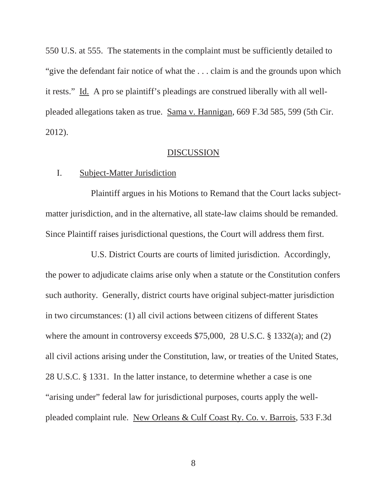550 U.S. at 555. The statements in the complaint must be sufficiently detailed to "give the defendant fair notice of what the ... claim is and the grounds upon which it rests." Id. A pro se plaintiff's pleadings are construed liberally with all wellpleaded allegations taken as true. Sama v. Hannigan, 669 F.3d 585, 599 (5th Cir. 2012).

### DISCUSSION

# I. Subject-Matter Jurisdiction

Plaintiff argues in his Motions to Remand that the Court lacks subjectmatter jurisdiction, and in the alternative, all state-law claims should be remanded. Since Plaintiff raises jurisdictional questions, the Court will address them first.

U.S. District Courts are courts of limited jurisdiction. Accordingly, the power to adjudicate claims arise only when a statute or the Constitution confers such authority. Generally, district courts have original subject-matter jurisdiction in two circumstances: (1) all civil actions between citizens of different States where the amount in controversy exceeds \$75,000, 28 U.S.C. § 1332(a); and (2) all civil actions arising under the Constitution, law, or treaties of the United States, 28 U.S.C. § 1331. In the latter instance, to determine whether a case is one "arising under" federal law for jurisdictional purposes, courts apply the wellpleaded complaint rule. New Orleans & Culf Coast Ry. Co. v. Barrois, 533 F.3d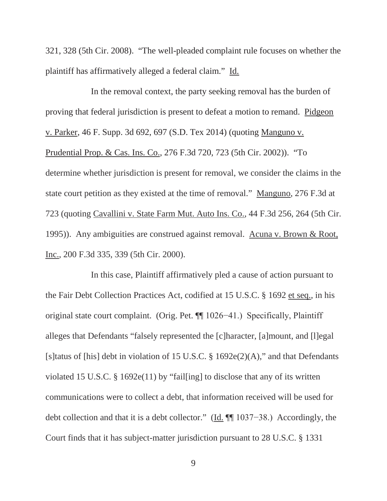321, 328 (5th Cir. 2008). "The well-pleaded complaint rule focuses on whether the plaintiff has affirmatively alleged a federal claim." Id.

In the removal context, the party seeking removal has the burden of proving that federal jurisdiction is present to defeat a motion to remand. Pidgeon v. Parker, 46 F. Supp. 3d 692, 697 (S.D. Tex 2014) (quoting Manguno v. Prudential Prop. & Cas. Ins. Co., 276 F.3d 720, 723 (5th Cir. 2002)). "To determine whether jurisdiction is present for removal, we consider the claims in the state court petition as they existed at the time of removal." Manguno, 276 F.3d at 723 (quoting Cavallini v. State Farm Mut. Auto Ins. Co., 44 F.3d 256, 264 (5th Cir. 1995)). Any ambiguities are construed against removal. Acuna v. Brown & Root, Inc., 200 F.3d 335, 339 (5th Cir. 2000).

In this case, Plaintiff affirmatively pled a cause of action pursuant to the Fair Debt Collection Practices Act, codified at 15 U.S.C. § 1692 et seq., in his original state court complaint. (Orig. Pet.  $\P$  1026-41.) Specifically, Plaintiff alleges that Defendants "falsely represented the [c]haracter, [a]mount, and [l]egal [s]tatus of [his] debt in violation of 15 U.S.C. § 1692e(2)(A)," and that Defendants violated 15 U.S.C. § 1692e(11) by "fail[ing] to disclose that any of its written communications were to collect a debt, that information received will be used for debt collection and that it is a debt collector." (Id.  $\P$ [1037–38.) Accordingly, the Court finds that it has subject-matter jurisdiction pursuant to 28 U.S.C. § 1331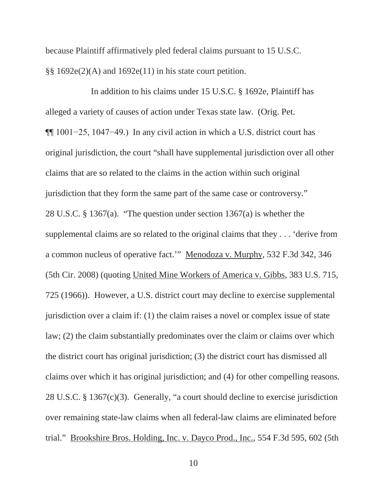because Plaintiff affirmatively pled federal claims pursuant to 15 U.S.C.  $\S$ § 1692e(2)(A) and 1692e(11) in his state court petition.

In addition to his claims under 15 U.S.C. § 1692e, Plaintiff has alleged a variety of causes of action under Texas state law. (Orig. Pet.  $\P$ [1001–25, 1047–49.) In any civil action in which a U.S. district court has original jurisdiction, the court "shall have supplemental jurisdiction over all other claims that are so related to the claims in the action within such original jurisdiction that they form the same part of the same case or controversy." 28 U.S.C. § 1367(a). "The question under section 1367(a) is whether the supplemental claims are so related to the original claims that they . . . 'derive from a common nucleus of operative fact.'" Menodoza v. Murphy, 532 F.3d 342, 346 (5th Cir. 2008) (quoting United Mine Workers of America v. Gibbs, 383 U.S. 715, 725 (1966)). However, a U.S. district court may decline to exercise supplemental jurisdiction over a claim if: (1) the claim raises a novel or complex issue of state law; (2) the claim substantially predominates over the claim or claims over which the district court has original jurisdiction; (3) the district court has dismissed all claims over which it has original jurisdiction; and (4) for other compelling reasons. 28 U.S.C. § 1367(c)(3). Generally, "a court should decline to exercise jurisdiction over remaining state-law claims when all federal-law claims are eliminated before trial." Brookshire Bros. Holding, Inc. v. Dayco Prod., Inc., 554 F.3d 595, 602 (5th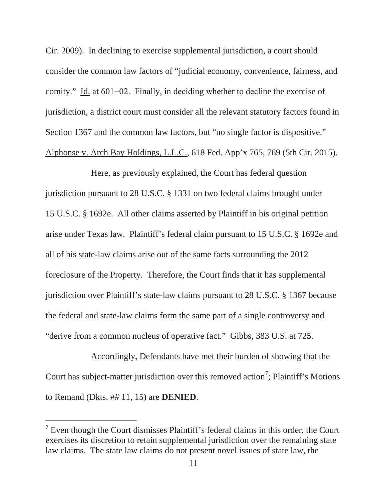Cir. 2009). In declining to exercise supplemental jurisdiction, a court should consider the common law factors of "judicial economy, convenience, fairness, and comity." Id. at  $601-02$ . Finally, in deciding whether to decline the exercise of jurisdiction, a district court must consider all the relevant statutory factors found in Section 1367 and the common law factors, but "no single factor is dispositive." Alphonse v. Arch Bay Holdings, L.L.C., 618 Fed. App'x 765, 769 (5th Cir. 2015).

Here, as previously explained, the Court has federal question jurisdiction pursuant to 28 U.S.C. § 1331 on two federal claims brought under 15 U.S.C. § 1692e. All other claims asserted by Plaintiff in his original petition arise under Texas law. Plaintiff's federal claim pursuant to 15 U.S.C. § 1692e and all of his state-law claims arise out of the same facts surrounding the 2012 foreclosure of the Property. Therefore, the Court finds that it has supplemental jurisdiction over Plaintiff's state-law claims pursuant to 28 U.S.C. § 1367 because the federal and state-law claims form the same part of a single controversy and "derive from a common nucleus of operative fact." Gibbs, 383 U.S. at 725.

Accordingly, Defendants have met their burden of showing that the Court has subject-matter jurisdiction over this removed action<sup>7</sup>; Plaintiff's Motions to Remand (Dkts. ## 11, 15) are **DENIED**.

 $7$  Even though the Court dismisses Plaintiff's federal claims in this order, the Court exercises its discretion to retain supplemental jurisdiction over the remaining state law claims. The state law claims do not present novel issues of state law, the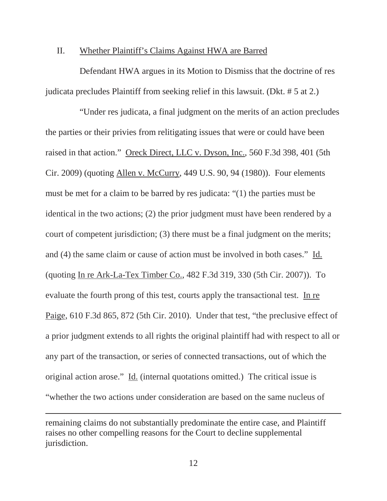### II. Whether Plaintiff's Claims Against HWA are Barred

Defendant HWA argues in its Motion to Dismiss that the doctrine of res judicata precludes Plaintiff from seeking relief in this lawsuit. (Dkt. # 5 at 2.)

"Under res judicata, a final judgment on the merits of an action precludes the parties or their privies from relitigating issues that were or could have been raised in that action." Oreck Direct, LLC v. Dyson, Inc., 560 F.3d 398, 401 (5th Cir. 2009) (quoting Allen v. McCurry, 449 U.S. 90, 94 (1980)). Four elements must be met for a claim to be barred by res judicata: "(1) the parties must be identical in the two actions; (2) the prior judgment must have been rendered by a court of competent jurisdiction; (3) there must be a final judgment on the merits; and (4) the same claim or cause of action must be involved in both cases." Id. (quoting In re Ark-La-Tex Timber Co., 482 F.3d 319, 330 (5th Cir. 2007)). To evaluate the fourth prong of this test, courts apply the transactional test. In re Paige, 610 F.3d 865, 872 (5th Cir. 2010). Under that test, "the preclusive effect of a prior judgment extends to all rights the original plaintiff had with respect to all or any part of the transaction, or series of connected transactions, out of which the original action arose." Id. (internal quotations omitted.) The critical issue is "whether the two actions under consideration are based on the same nucleus of

remaining claims do not substantially predominate the entire case, and Plaintiff raises no other compelling reasons for the Court to decline supplemental jurisdiction.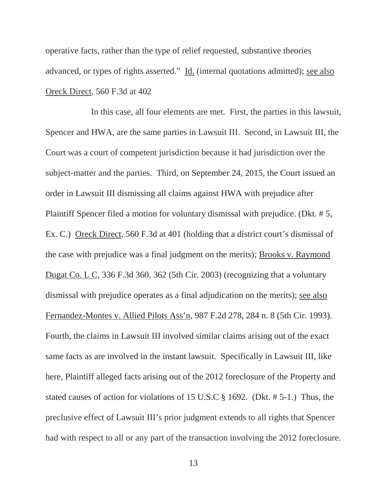operative facts, rather than the type of relief requested, substantive theories advanced, or types of rights asserted." Id. (internal quotations admitted); see also Oreck Direct, 560 F.3d at 402

In this case, all four elements are met. First, the parties in this lawsuit, Spencer and HWA, are the same parties in Lawsuit III. Second, in Lawsuit III, the Court was a court of competent jurisdiction because it had jurisdiction over the subject-matter and the parties. Third, on September 24, 2015, the Court issued an order in Lawsuit III dismissing all claims against HWA with prejudice after Plaintiff Spencer filed a motion for voluntary dismissal with prejudice. (Dkt. # 5, Ex. C.) Oreck Direct, 560 F.3d at 401 (holding that a district court's dismissal of the case with prejudice was a final judgment on the merits); Brooks v. Raymond Dugat Co. L C, 336 F.3d 360, 362 (5th Cir. 2003) (recognizing that a voluntary dismissal with prejudice operates as a final adjudication on the merits); see also Fernandez-Montes v. Allied Pilots Ass'n, 987 F.2d 278, 284 n. 8 (5th Cir. 1993). Fourth, the claims in Lawsuit III involved similar claims arising out of the exact same facts as are involved in the instant lawsuit. Specifically in Lawsuit III, like here, Plaintiff alleged facts arising out of the 2012 foreclosure of the Property and stated causes of action for violations of 15 U.S.C § 1692. (Dkt. # 5-1.) Thus, the preclusive effect of Lawsuit III's prior judgment extends to all rights that Spencer had with respect to all or any part of the transaction involving the 2012 foreclosure.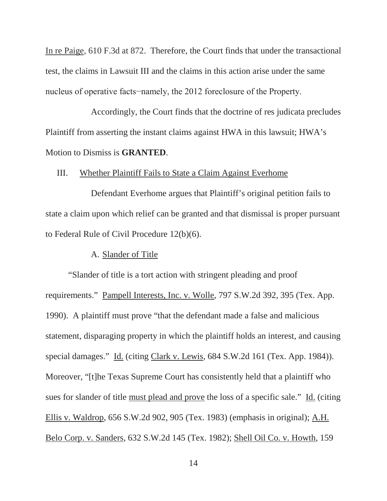In re Paige, 610 F.3d at 872. Therefore, the Court finds that under the transactional test, the claims in Lawsuit III and the claims in this action arise under the same nucleus of operative facts-namely, the 2012 foreclosure of the Property.

Accordingly, the Court finds that the doctrine of res judicata precludes Plaintiff from asserting the instant claims against HWA in this lawsuit; HWA's Motion to Dismiss is **GRANTED**.

### III. Whether Plaintiff Fails to State a Claim Against Everhome

Defendant Everhome argues that Plaintiff's original petition fails to state a claim upon which relief can be granted and that dismissal is proper pursuant to Federal Rule of Civil Procedure 12(b)(6).

### A. Slander of Title

"Slander of title is a tort action with stringent pleading and proof requirements." Pampell Interests, Inc. v. Wolle, 797 S.W.2d 392, 395 (Tex. App. 1990). A plaintiff must prove "that the defendant made a false and malicious statement, disparaging property in which the plaintiff holds an interest, and causing special damages." Id. (citing Clark v. Lewis*,* 684 S.W.2d 161 (Tex. App. 1984)). Moreover, "[t]he Texas Supreme Court has consistently held that a plaintiff who sues for slander of title must plead and prove the loss of a specific sale." Id. (citing Ellis v. Waldrop, 656 S.W.2d 902, 905 (Tex. 1983) (emphasis in original); A.H. Belo Corp. v. Sanders, 632 S.W.2d 145 (Tex. 1982); Shell Oil Co. v. Howth*,* 159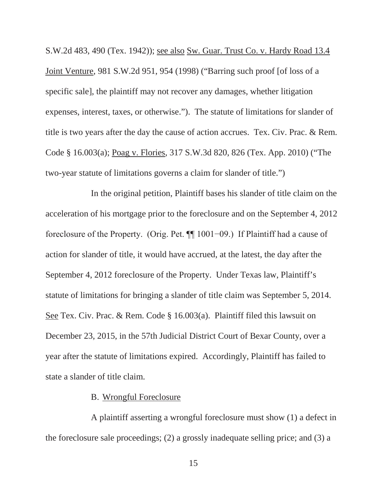S.W.2d 483, 490 (Tex. 1942)); see also Sw. Guar. Trust Co. v. Hardy Road 13.4 Joint Venture, 981 S.W.2d 951, 954 (1998) ("Barring such proof [of loss of a specific sale], the plaintiff may not recover any damages, whether litigation expenses, interest, taxes, or otherwise."). The statute of limitations for slander of title is two years after the day the cause of action accrues. Tex. Civ. Prac. & Rem. Code § 16.003(a); Poag v. Flories, 317 S.W.3d 820, 826 (Tex. App. 2010) ("The two-year statute of limitations governs a claim for slander of title.")

In the original petition, Plaintiff bases his slander of title claim on the acceleration of his mortgage prior to the foreclosure and on the September 4, 2012 foreclosure of the Property. (Orig. Pet.  $\P$  1001–09.) If Plaintiff had a cause of action for slander of title, it would have accrued, at the latest, the day after the September 4, 2012 foreclosure of the Property. Under Texas law, Plaintiff's statute of limitations for bringing a slander of title claim was September 5, 2014. See Tex. Civ. Prac. & Rem. Code § 16.003(a). Plaintiff filed this lawsuit on December 23, 2015, in the 57th Judicial District Court of Bexar County, over a year after the statute of limitations expired. Accordingly, Plaintiff has failed to state a slander of title claim.

# B. Wrongful Foreclosure

A plaintiff asserting a wrongful foreclosure must show (1) a defect in the foreclosure sale proceedings; (2) a grossly inadequate selling price; and (3) a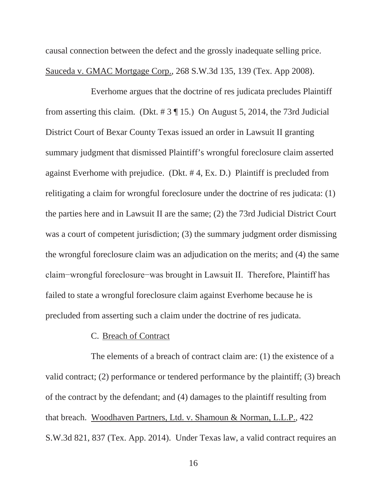causal connection between the defect and the grossly inadequate selling price. Sauceda v. GMAC Mortgage Corp., 268 S.W.3d 135, 139 (Tex. App 2008).

Everhome argues that the doctrine of res judicata precludes Plaintiff from asserting this claim. (Dkt.  $\# 3 \P 15$ .) On August 5, 2014, the 73rd Judicial District Court of Bexar County Texas issued an order in Lawsuit II granting summary judgment that dismissed Plaintiff's wrongful foreclosure claim asserted against Everhome with prejudice. (Dkt. # 4, Ex. D.) Plaintiff is precluded from relitigating a claim for wrongful foreclosure under the doctrine of res judicata: (1) the parties here and in Lawsuit II are the same; (2) the 73rd Judicial District Court was a court of competent jurisdiction; (3) the summary judgment order dismissing the wrongful foreclosure claim was an adjudication on the merits; and (4) the same elaim-wrongful foreclosure-was brought in Lawsuit II. Therefore, Plaintiff has failed to state a wrongful foreclosure claim against Everhome because he is precluded from asserting such a claim under the doctrine of res judicata.

# C. Breach of Contract

The elements of a breach of contract claim are: (1) the existence of a valid contract; (2) performance or tendered performance by the plaintiff; (3) breach of the contract by the defendant; and (4) damages to the plaintiff resulting from that breach. Woodhaven Partners, Ltd. v. Shamoun & Norman, L.L.P., 422 S.W.3d 821, 837 (Tex. App. 2014). Under Texas law, a valid contract requires an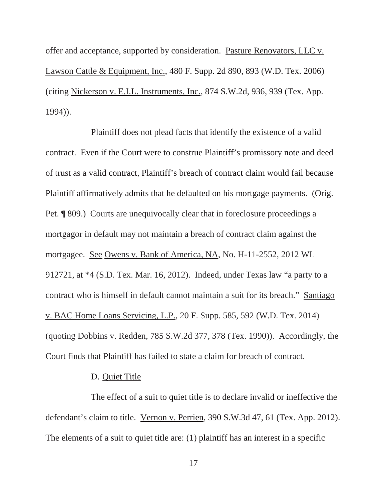offer and acceptance, supported by consideration. Pasture Renovators, LLC v. Lawson Cattle & Equipment, Inc., 480 F. Supp. 2d 890, 893 (W.D. Tex. 2006) (citing Nickerson v. E.I.L. Instruments, Inc., 874 S.W.2d, 936, 939 (Tex. App. 1994)).

Plaintiff does not plead facts that identify the existence of a valid contract. Even if the Court were to construe Plaintiff's promissory note and deed of trust as a valid contract, Plaintiff's breach of contract claim would fail because Plaintiff affirmatively admits that he defaulted on his mortgage payments. (Orig. Pet. ¶ 809.) Courts are unequivocally clear that in foreclosure proceedings a mortgagor in default may not maintain a breach of contract claim against the mortgagee. See Owens v. Bank of America, NA, No. H-11-2552, 2012 WL 912721, at \*4 (S.D. Tex. Mar. 16, 2012). Indeed, under Texas law "a party to a contract who is himself in default cannot maintain a suit for its breach." Santiago v. BAC Home Loans Servicing, L.P., 20 F. Supp. 585, 592 (W.D. Tex. 2014) (quoting Dobbins v. Redden, 785 S.W.2d 377, 378 (Tex. 1990)). Accordingly, the Court finds that Plaintiff has failed to state a claim for breach of contract.

### D. Quiet Title

The effect of a suit to quiet title is to declare invalid or ineffective the defendant's claim to title. Vernon v. Perrien, 390 S.W.3d 47, 61 (Tex. App. 2012). The elements of a suit to quiet title are: (1) plaintiff has an interest in a specific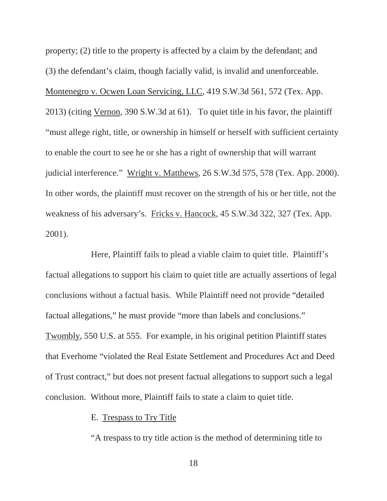property; (2) title to the property is affected by a claim by the defendant; and (3) the defendant's claim, though facially valid, is invalid and unenforceable. Montenegro v. Ocwen Loan Servicing, LLC, 419 S.W.3d 561, 572 (Tex. App. 2013) (citing Vernon, 390 S.W.3d at 61). To quiet title in his favor, the plaintiff "must allege right, title, or ownership in himself or herself with sufficient certainty to enable the court to see he or she has a right of ownership that will warrant judicial interference." Wright v. Matthews, 26 S.W.3d 575, 578 (Tex. App. 2000). In other words, the plaintiff must recover on the strength of his or her title, not the weakness of his adversary's. Fricks v. Hancock, 45 S.W.3d 322, 327 (Tex. App. 2001).

Here, Plaintiff fails to plead a viable claim to quiet title. Plaintiff's factual allegations to support his claim to quiet title are actually assertions of legal conclusions without a factual basis. While Plaintiff need not provide "detailed factual allegations," he must provide "more than labels and conclusions." Twombly, 550 U.S. at 555. For example, in his original petition Plaintiff states that Everhome "violated the Real Estate Settlement and Procedures Act and Deed of Trust contract," but does not present factual allegations to support such a legal conclusion. Without more, Plaintiff fails to state a claim to quiet title.

# E. Trespass to Try Title

"A trespass to try title action is the method of determining title to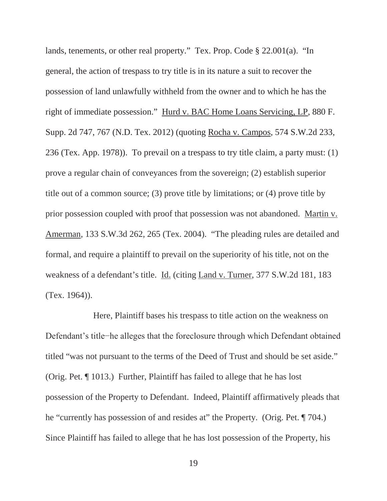lands, tenements, or other real property." Tex. Prop. Code § 22.001(a). "In general, the action of trespass to try title is in its nature a suit to recover the possession of land unlawfully withheld from the owner and to which he has the right of immediate possession." Hurd v. BAC Home Loans Servicing, LP, 880 F. Supp. 2d 747, 767 (N.D. Tex. 2012) (quoting Rocha v. Campos, 574 S.W.2d 233, 236 (Tex. App. 1978)). To prevail on a trespass to try title claim, a party must: (1) prove a regular chain of conveyances from the sovereign; (2) establish superior title out of a common source; (3) prove title by limitations; or (4) prove title by prior possession coupled with proof that possession was not abandoned. Martin v. Amerman, 133 S.W.3d 262, 265 (Tex. 2004). "The pleading rules are detailed and formal, and require a plaintiff to prevail on the superiority of his title, not on the weakness of a defendant's title. Id. (citing Land v. Turner, 377 S.W.2d 181, 183 (Tex. 1964)).

Here, Plaintiff bases his trespass to title action on the weakness on Defendant's title-he alleges that the foreclosure through which Defendant obtained titled "was not pursuant to the terms of the Deed of Trust and should be set aside." (Orig. Pet. ¶ 1013.) Further, Plaintiff has failed to allege that he has lost possession of the Property to Defendant. Indeed, Plaintiff affirmatively pleads that he "currently has possession of and resides at" the Property. (Orig. Pet. ¶ 704.) Since Plaintiff has failed to allege that he has lost possession of the Property, his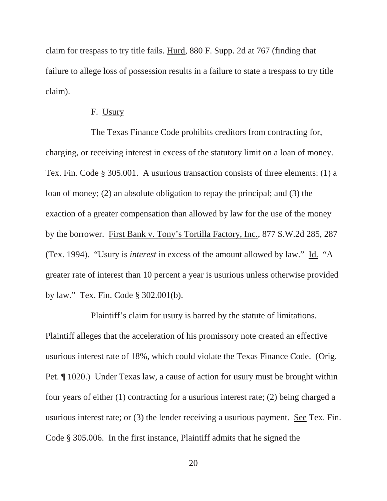claim for trespass to try title fails. Hurd, 880 F. Supp. 2d at 767 (finding that failure to allege loss of possession results in a failure to state a trespass to try title claim).

### F. Usury

The Texas Finance Code prohibits creditors from contracting for, charging, or receiving interest in excess of the statutory limit on a loan of money. Tex. Fin. Code § 305.001. A usurious transaction consists of three elements: (1) a loan of money; (2) an absolute obligation to repay the principal; and (3) the exaction of a greater compensation than allowed by law for the use of the money by the borrower. First Bank v. Tony's Tortilla Factory, Inc., 877 S.W.2d 285, 287 (Tex. 1994). "Usury is *interest* in excess of the amount allowed by law." Id. "A greater rate of interest than 10 percent a year is usurious unless otherwise provided by law." Tex. Fin. Code § 302.001(b).

Plaintiff's claim for usury is barred by the statute of limitations. Plaintiff alleges that the acceleration of his promissory note created an effective usurious interest rate of 18%, which could violate the Texas Finance Code. (Orig. Pet. ¶ 1020.) Under Texas law, a cause of action for usury must be brought within four years of either (1) contracting for a usurious interest rate; (2) being charged a usurious interest rate; or (3) the lender receiving a usurious payment. See Tex. Fin. Code § 305.006. In the first instance, Plaintiff admits that he signed the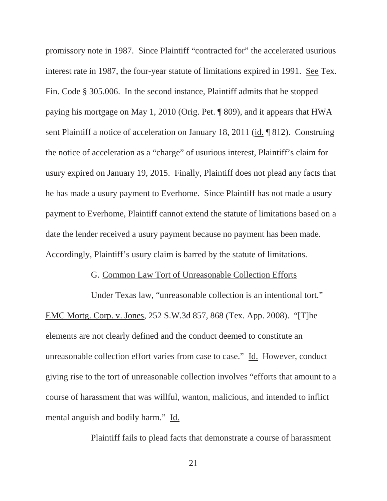promissory note in 1987. Since Plaintiff "contracted for" the accelerated usurious interest rate in 1987, the four-year statute of limitations expired in 1991. See Tex. Fin. Code § 305.006. In the second instance, Plaintiff admits that he stopped paying his mortgage on May 1, 2010 (Orig. Pet. ¶ 809), and it appears that HWA sent Plaintiff a notice of acceleration on January 18, 2011 (id. ¶ 812). Construing the notice of acceleration as a "charge" of usurious interest, Plaintiff's claim for usury expired on January 19, 2015. Finally, Plaintiff does not plead any facts that he has made a usury payment to Everhome. Since Plaintiff has not made a usury payment to Everhome, Plaintiff cannot extend the statute of limitations based on a date the lender received a usury payment because no payment has been made. Accordingly, Plaintiff's usury claim is barred by the statute of limitations.

#### G. Common Law Tort of Unreasonable Collection Efforts

Under Texas law, "unreasonable collection is an intentional tort." EMC Mortg. Corp. v. Jones, 252 S.W.3d 857, 868 (Tex. App. 2008). "[T]he elements are not clearly defined and the conduct deemed to constitute an unreasonable collection effort varies from case to case." Id. However, conduct giving rise to the tort of unreasonable collection involves "efforts that amount to a course of harassment that was willful, wanton, malicious, and intended to inflict mental anguish and bodily harm." Id.

Plaintiff fails to plead facts that demonstrate a course of harassment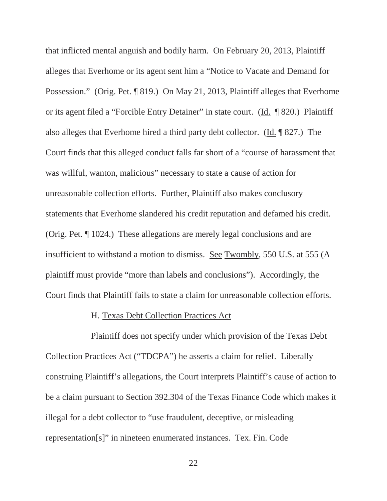that inflicted mental anguish and bodily harm. On February 20, 2013, Plaintiff alleges that Everhome or its agent sent him a "Notice to Vacate and Demand for Possession." (Orig. Pet. ¶ 819.) On May 21, 2013, Plaintiff alleges that Everhome or its agent filed a "Forcible Entry Detainer" in state court. (Id. ¶ 820.) Plaintiff also alleges that Everhome hired a third party debt collector. (Id. ¶ 827.) The Court finds that this alleged conduct falls far short of a "course of harassment that was willful, wanton, malicious" necessary to state a cause of action for unreasonable collection efforts. Further, Plaintiff also makes conclusory statements that Everhome slandered his credit reputation and defamed his credit. (Orig. Pet. ¶ 1024.) These allegations are merely legal conclusions and are insufficient to withstand a motion to dismiss. See Twombly, 550 U.S. at 555 (A plaintiff must provide "more than labels and conclusions"). Accordingly, the Court finds that Plaintiff fails to state a claim for unreasonable collection efforts.

### H. Texas Debt Collection Practices Act

Plaintiff does not specify under which provision of the Texas Debt Collection Practices Act ("TDCPA") he asserts a claim for relief. Liberally construing Plaintiff's allegations, the Court interprets Plaintiff's cause of action to be a claim pursuant to Section 392.304 of the Texas Finance Code which makes it illegal for a debt collector to "use fraudulent, deceptive, or misleading representation[s]" in nineteen enumerated instances. Tex. Fin. Code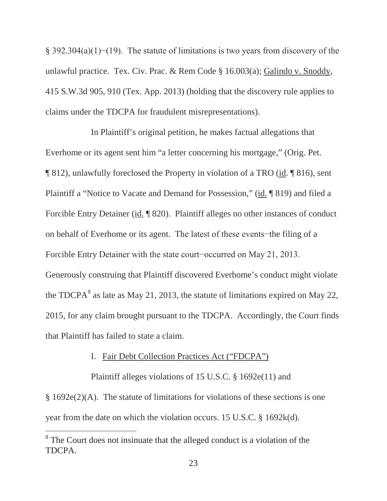§ 392.304(a)(1)–(19). The statute of limitations is two years from discovery of the unlawful practice. Tex. Civ. Prac. & Rem Code § 16.003(a); Galindo v. Snoddy, 415 S.W.3d 905, 910 (Tex. App. 2013) (holding that the discovery rule applies to claims under the TDCPA for fraudulent misrepresentations).

In Plaintiff's original petition, he makes factual allegations that Everhome or its agent sent him "a letter concerning his mortgage," (Orig. Pet. ¶ 812), unlawfully foreclosed the Property in violation of a TRO (id. ¶ 816), sent Plaintiff a "Notice to Vacate and Demand for Possession," (id. ¶ 819) and filed a Forcible Entry Detainer (id. ¶ 820). Plaintiff alleges no other instances of conduct on behalf of Everhome or its agent. The latest of these events-the filing of a Forcible Entry Detainer with the state court-occurred on May 21, 2013. Generously construing that Plaintiff discovered Everhome's conduct might violate the TDCPA $^8$  as late as May 21, 2013, the statute of limitations expired on May 22, 2015, for any claim brought pursuant to the TDCPA. Accordingly, the Court finds that Plaintiff has failed to state a claim.

### I. Fair Debt Collection Practices Act ("FDCPA")

Plaintiff alleges violations of 15 U.S.C. § 1692e(11) and § 1692e(2)(A). The statute of limitations for violations of these sections is one year from the date on which the violation occurs. 15 U.S.C. § 1692k(d).

<sup>&</sup>lt;sup>8</sup> The Court does not insinuate that the alleged conduct is a violation of the TDCPA.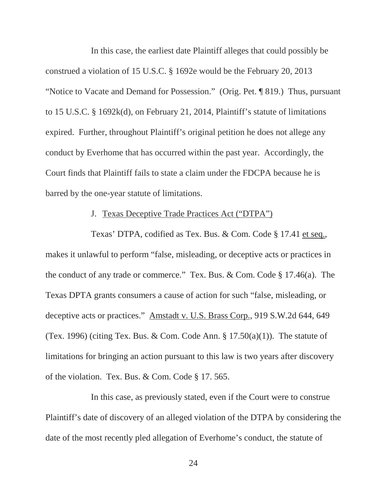In this case, the earliest date Plaintiff alleges that could possibly be construed a violation of 15 U.S.C. § 1692e would be the February 20, 2013 "Notice to Vacate and Demand for Possession." (Orig. Pet. ¶ 819.) Thus, pursuant to 15 U.S.C. § 1692k(d), on February 21, 2014, Plaintiff's statute of limitations expired. Further, throughout Plaintiff's original petition he does not allege any conduct by Everhome that has occurred within the past year. Accordingly, the Court finds that Plaintiff fails to state a claim under the FDCPA because he is barred by the one-year statute of limitations.

### J. Texas Deceptive Trade Practices Act ("DTPA")

Texas' DTPA, codified as Tex. Bus. & Com. Code § 17.41 et seq., makes it unlawful to perform "false, misleading, or deceptive acts or practices in the conduct of any trade or commerce." Tex. Bus. & Com. Code § 17.46(a). The Texas DPTA grants consumers a cause of action for such "false, misleading, or deceptive acts or practices." Amstadt v. U.S. Brass Corp., 919 S.W.2d 644, 649 (Tex. 1996) (citing Tex. Bus. & Com. Code Ann.  $\S 17.50(a)(1)$ ). The statute of limitations for bringing an action pursuant to this law is two years after discovery of the violation. Tex. Bus. & Com. Code § 17. 565.

In this case, as previously stated, even if the Court were to construe Plaintiff's date of discovery of an alleged violation of the DTPA by considering the date of the most recently pled allegation of Everhome's conduct, the statute of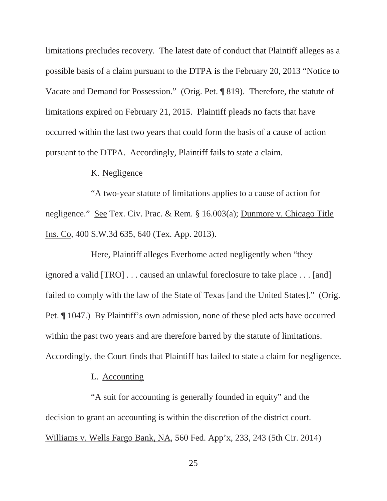limitations precludes recovery. The latest date of conduct that Plaintiff alleges as a possible basis of a claim pursuant to the DTPA is the February 20, 2013 "Notice to Vacate and Demand for Possession." (Orig. Pet. ¶ 819). Therefore, the statute of limitations expired on February 21, 2015. Plaintiff pleads no facts that have occurred within the last two years that could form the basis of a cause of action pursuant to the DTPA. Accordingly, Plaintiff fails to state a claim.

### K. Negligence

"A two-year statute of limitations applies to a cause of action for negligence." See Tex. Civ. Prac. & Rem. § 16.003(a); Dunmore v. Chicago Title Ins. Co, 400 S.W.3d 635, 640 (Tex. App. 2013).

Here, Plaintiff alleges Everhome acted negligently when "they ignored a valid [TRO] . . . caused an unlawful foreclosure to take place . . . [and] failed to comply with the law of the State of Texas [and the United States]." (Orig. Pet. ¶ 1047.) By Plaintiff's own admission, none of these pled acts have occurred within the past two years and are therefore barred by the statute of limitations. Accordingly, the Court finds that Plaintiff has failed to state a claim for negligence.

# L. Accounting

"A suit for accounting is generally founded in equity" and the decision to grant an accounting is within the discretion of the district court. Williams v. Wells Fargo Bank, NA, 560 Fed. App'x, 233, 243 (5th Cir. 2014)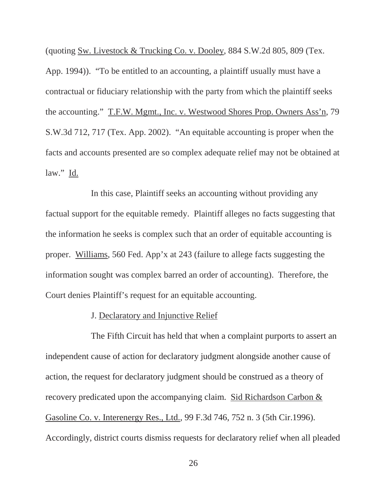(quoting Sw. Livestock & Trucking Co. v. Dooley, 884 S.W.2d 805, 809 (Tex. App. 1994)). "To be entitled to an accounting, a plaintiff usually must have a contractual or fiduciary relationship with the party from which the plaintiff seeks the accounting." T.F.W. Mgmt., Inc. v. Westwood Shores Prop. Owners Ass'n, 79 S.W.3d 712, 717 (Tex. App. 2002). "An equitable accounting is proper when the facts and accounts presented are so complex adequate relief may not be obtained at  $law."$  <u>Id.</u>

In this case, Plaintiff seeks an accounting without providing any factual support for the equitable remedy. Plaintiff alleges no facts suggesting that the information he seeks is complex such that an order of equitable accounting is proper. Williams, 560 Fed. App'x at 243 (failure to allege facts suggesting the information sought was complex barred an order of accounting). Therefore, the Court denies Plaintiff's request for an equitable accounting.

#### J. Declaratory and Injunctive Relief

The Fifth Circuit has held that when a complaint purports to assert an independent cause of action for declaratory judgment alongside another cause of action, the request for declaratory judgment should be construed as a theory of recovery predicated upon the accompanying claim. Sid Richardson Carbon & Gasoline Co. v. Interenergy Res., Ltd., 99 F.3d 746, 752 n. 3 (5th Cir.1996). Accordingly, district courts dismiss requests for declaratory relief when all pleaded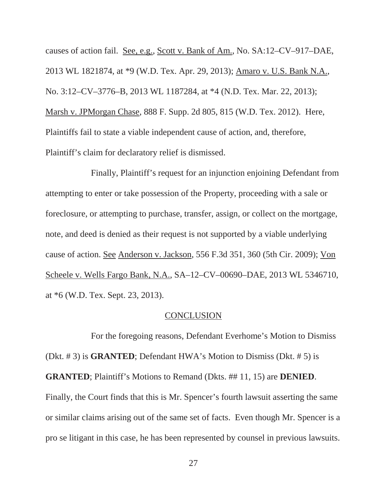causes of action fail. See, e.g., Scott v. Bank of Am., No. SA:12–CV–917–DAE, 2013 WL 1821874, at \*9 (W.D. Tex. Apr. 29, 2013); Amaro v. U.S. Bank N.A., No. 3:12–CV–3776–B, 2013 WL 1187284, at \*4 (N.D. Tex. Mar. 22, 2013); Marsh v. JPMorgan Chase, 888 F. Supp. 2d 805, 815 (W.D. Tex. 2012). Here, Plaintiffs fail to state a viable independent cause of action, and, therefore, Plaintiff's claim for declaratory relief is dismissed.

Finally, Plaintiff's request for an injunction enjoining Defendant from attempting to enter or take possession of the Property, proceeding with a sale or foreclosure, or attempting to purchase, transfer, assign, or collect on the mortgage, note, and deed is denied as their request is not supported by a viable underlying cause of action. See Anderson v. Jackson, 556 F.3d 351, 360 (5th Cir. 2009); Von Scheele v. Wells Fargo Bank, N.A., SA–12–CV–00690–DAE, 2013 WL 5346710, at \*6 (W.D. Tex. Sept. 23, 2013).

#### **CONCLUSION**

For the foregoing reasons, Defendant Everhome's Motion to Dismiss (Dkt. # 3) is **GRANTED**; Defendant HWA's Motion to Dismiss (Dkt. # 5) is **GRANTED**; Plaintiff's Motions to Remand (Dkts. ## 11, 15) are **DENIED**. Finally, the Court finds that this is Mr. Spencer's fourth lawsuit asserting the same or similar claims arising out of the same set of facts. Even though Mr. Spencer is a pro se litigant in this case, he has been represented by counsel in previous lawsuits.